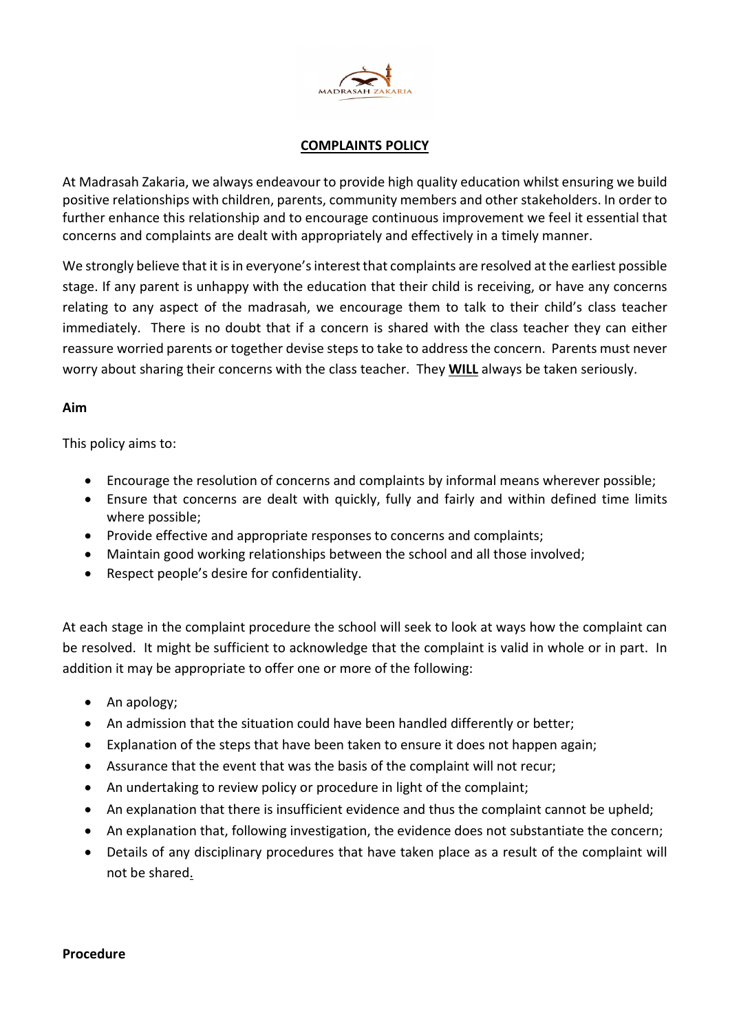

## **COMPLAINTS POLICY**

At Madrasah Zakaria, we always endeavour to provide high quality education whilst ensuring we build positive relationships with children, parents, community members and other stakeholders. In order to further enhance this relationship and to encourage continuous improvement we feel it essential that concerns and complaints are dealt with appropriately and effectively in a timely manner.

We strongly believe that it is in everyone's interest that complaints are resolved at the earliest possible stage. If any parent is unhappy with the education that their child is receiving, or have any concerns relating to any aspect of the madrasah, we encourage them to talk to their child's class teacher immediately. There is no doubt that if a concern is shared with the class teacher they can either reassure worried parents or together devise steps to take to address the concern. Parents must never worry about sharing their concerns with the class teacher. They WILL always be taken seriously.

## Aim

This policy aims to:

- Encourage the resolution of concerns and complaints by informal means wherever possible;
- Ensure that concerns are dealt with quickly, fully and fairly and within defined time limits where possible;
- Provide effective and appropriate responses to concerns and complaints;
- Maintain good working relationships between the school and all those involved;
- Respect people's desire for confidentiality.

At each stage in the complaint procedure the school will seek to look at ways how the complaint can be resolved. It might be sufficient to acknowledge that the complaint is valid in whole or in part. In addition it may be appropriate to offer one or more of the following:

- An apology;
- An admission that the situation could have been handled differently or better;
- Explanation of the steps that have been taken to ensure it does not happen again;
- Assurance that the event that was the basis of the complaint will not recur;
- An undertaking to review policy or procedure in light of the complaint;
- An explanation that there is insufficient evidence and thus the complaint cannot be upheld;
- An explanation that, following investigation, the evidence does not substantiate the concern;
- Details of any disciplinary procedures that have taken place as a result of the complaint will not be shared.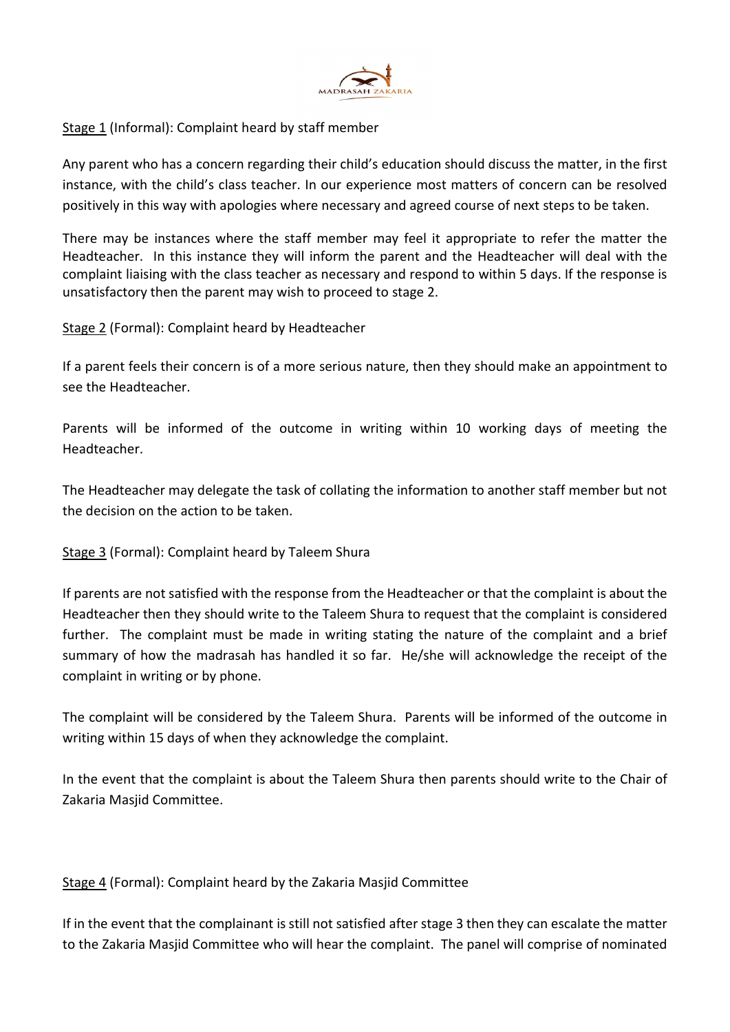

## Stage 1 (Informal): Complaint heard by staff member

Any parent who has a concern regarding their child's education should discuss the matter, in the first instance, with the child's class teacher. In our experience most matters of concern can be resolved positively in this way with apologies where necessary and agreed course of next steps to be taken.

There may be instances where the staff member may feel it appropriate to refer the matter the Headteacher. In this instance they will inform the parent and the Headteacher will deal with the complaint liaising with the class teacher as necessary and respond to within 5 days. If the response is unsatisfactory then the parent may wish to proceed to stage 2.

Stage 2 (Formal): Complaint heard by Headteacher

If a parent feels their concern is of a more serious nature, then they should make an appointment to see the Headteacher.

Parents will be informed of the outcome in writing within 10 working days of meeting the Headteacher.

The Headteacher may delegate the task of collating the information to another staff member but not the decision on the action to be taken.

Stage 3 (Formal): Complaint heard by Taleem Shura

If parents are not satisfied with the response from the Headteacher or that the complaint is about the Headteacher then they should write to the Taleem Shura to request that the complaint is considered further. The complaint must be made in writing stating the nature of the complaint and a brief summary of how the madrasah has handled it so far. He/she will acknowledge the receipt of the complaint in writing or by phone.

The complaint will be considered by the Taleem Shura. Parents will be informed of the outcome in writing within 15 days of when they acknowledge the complaint.

In the event that the complaint is about the Taleem Shura then parents should write to the Chair of Zakaria Masjid Committee.

Stage 4 (Formal): Complaint heard by the Zakaria Masjid Committee

If in the event that the complainant is still not satisfied after stage 3 then they can escalate the matter to the Zakaria Masjid Committee who will hear the complaint. The panel will comprise of nominated